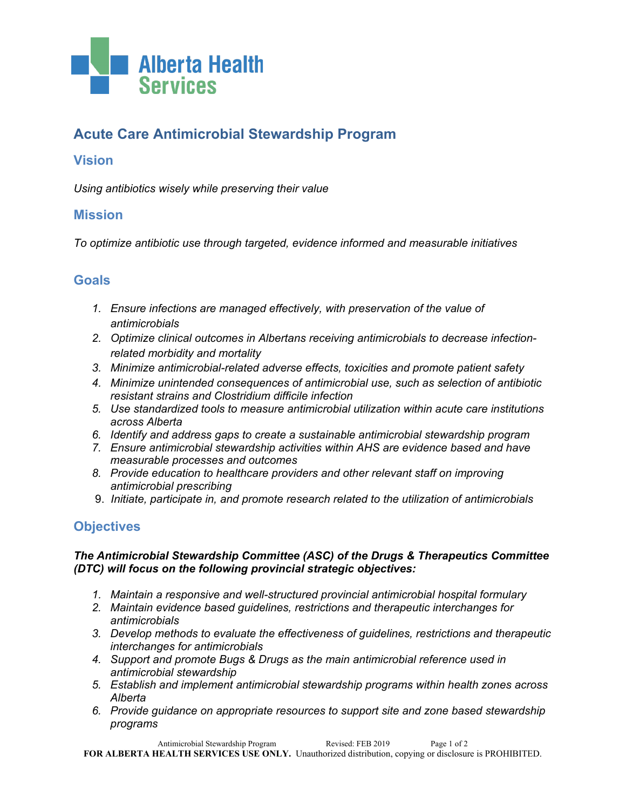

# **Acute Care Antimicrobial Stewardship Program**

# **Vision**

*Using antibiotics wisely while preserving their value*

### **Mission**

*To optimize antibiotic use through targeted, evidence informed and measurable initiatives*

### **Goals**

- *1. Ensure infections are managed effectively, with preservation of the value of antimicrobials*
- *2. Optimize clinical outcomes in Albertans receiving antimicrobials to decrease infectionrelated morbidity and mortality*
- *3. Minimize antimicrobial-related adverse effects, toxicities and promote patient safety*
- *4. Minimize unintended consequences of antimicrobial use, such as selection of antibiotic resistant strains and Clostridium difficile infection*
- *5. Use standardized tools to measure antimicrobial utilization within acute care institutions across Alberta*
- *6. Identify and address gaps to create a sustainable antimicrobial stewardship program*
- *7. Ensure antimicrobial stewardship activities within AHS are evidence based and have measurable processes and outcomes*
- *8. Provide education to healthcare providers and other relevant staff on improving antimicrobial prescribing*
- 9. *Initiate, participate in, and promote research related to the utilization of antimicrobials*

## **Objectives**

#### *The Antimicrobial Stewardship Committee (ASC) of the Drugs & Therapeutics Committee (DTC) will focus on the following provincial strategic objectives:*

- *1. Maintain a responsive and well-structured provincial antimicrobial hospital formulary*
- *2. Maintain evidence based guidelines, restrictions and therapeutic interchanges for antimicrobials*
- *3. Develop methods to evaluate the effectiveness of guidelines, restrictions and therapeutic interchanges for antimicrobials*
- *4. Support and promote Bugs & Drugs as the main antimicrobial reference used in antimicrobial stewardship*
- *5. Establish and implement antimicrobial stewardship programs within health zones across Alberta*
- *6. Provide guidance on appropriate resources to support site and zone based stewardship programs*